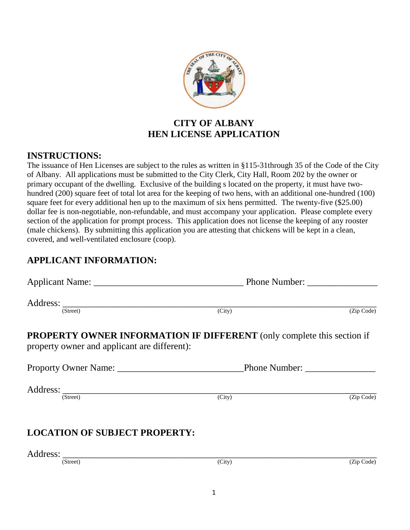

### **CITY OF ALBANY HEN LICENSE APPLICATION**

### **INSTRUCTIONS:**

The issuance of Hen Licenses are subject to the rules as written in §115-31through 35 of the Code of the City of Albany. All applications must be submitted to the City Clerk, City Hall, Room 202 by the owner or primary occupant of the dwelling. Exclusive of the building s located on the property, it must have twohundred (200) square feet of total lot area for the keeping of two hens, with an additional one-hundred (100) square feet for every additional hen up to the maximum of six hens permitted. The twenty-five (\$25.00) dollar fee is non-negotiable, non-refundable, and must accompany your application. Please complete every section of the application for prompt process. This application does not license the keeping of any rooster (male chickens). By submitting this application you are attesting that chickens will be kept in a clean, covered, and well-ventilated enclosure (coop).

## **APPLICANT INFORMATION:**

| Applicant Name:                                                                                                               | <b>Phone Number:</b> |            |
|-------------------------------------------------------------------------------------------------------------------------------|----------------------|------------|
| Address:<br>(Street)                                                                                                          | (City)               | (Zip Code) |
| <b>PROPERTY OWNER INFORMATION IF DIFFERENT</b> (only complete this section if<br>property owner and applicant are different): |                      |            |
| Proporty Owner Name:                                                                                                          | <b>Phone Number:</b> |            |
| Address:<br>(Street)                                                                                                          | (City)               | (Zip Code) |

# **LOCATION OF SUBJECT PROPERTY:**

Address: \_\_\_\_\_\_\_\_\_\_\_\_\_\_\_\_\_\_\_\_\_\_\_\_\_\_\_\_\_\_\_\_\_\_\_\_\_\_\_\_\_\_\_\_\_\_\_\_\_\_\_\_\_\_\_\_\_\_\_\_\_\_\_\_\_\_\_

1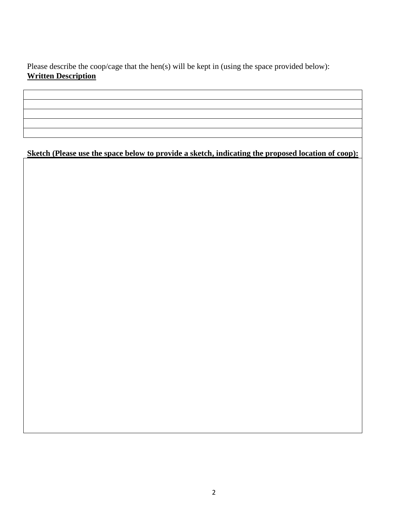Please describe the coop/cage that the hen(s) will be kept in (using the space provided below): **Written Description**

**Sketch (Please use the space below to provide a sketch, indicating the proposed location of coop):**